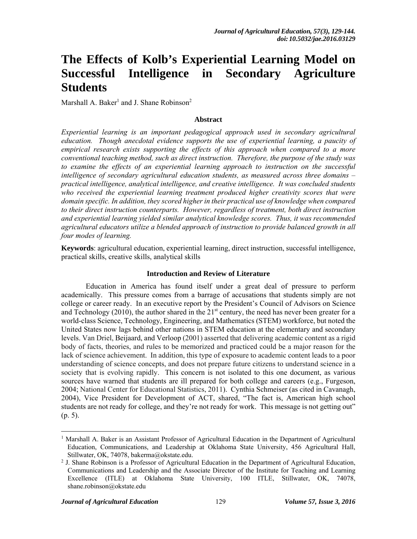# **The Effects of Kolb's Experiential Learning Model on Successful Intelligence in Secondary Agriculture Students**

Marshall A. Baker<sup>1</sup> and J. Shane Robinson<sup>2</sup>

#### **Abstract**

*Experiential learning is an important pedagogical approach used in secondary agricultural education. Though anecdotal evidence supports the use of experiential learning, a paucity of empirical research exists supporting the effects of this approach when compared to a more conventional teaching method, such as direct instruction. Therefore, the purpose of the study was to examine the effects of an experiential learning approach to instruction on the successful intelligence of secondary agricultural education students, as measured across three domains – practical intelligence, analytical intelligence, and creative intelligence. It was concluded students who received the experiential learning treatment produced higher creativity scores that were domain specific. In addition, they scored higher in their practical use of knowledge when compared to their direct instruction counterparts. However, regardless of treatment, both direct instruction and experiential learning yielded similar analytical knowledge scores. Thus, it was recommended agricultural educators utilize a blended approach of instruction to provide balanced growth in all four modes of learning.* 

**Keywords**: agricultural education, experiential learning, direct instruction, successful intelligence, practical skills, creative skills, analytical skills

#### **Introduction and Review of Literature**

Education in America has found itself under a great deal of pressure to perform academically. This pressure comes from a barrage of accusations that students simply are not college or career ready. In an executive report by the President's Council of Advisors on Science and Technology (2010), the author shared in the  $21<sup>st</sup>$  century, the need has never been greater for a world-class Science, Technology, Engineering, and Mathematics (STEM) workforce, but noted the United States now lags behind other nations in STEM education at the elementary and secondary levels. Van Driel, Beijaard, and Verloop (2001) asserted that delivering academic content as a rigid body of facts, theories, and rules to be memorized and practiced could be a major reason for the lack of science achievement. In addition, this type of exposure to academic content leads to a poor understanding of science concepts, and does not prepare future citizens to understand science in a society that is evolving rapidly. This concern is not isolated to this one document, as various sources have warned that students are ill prepared for both college and careers (e.g., Furgeson, 2004; National Center for Educational Statistics, 2011). Cynthia Schmeiser (as cited in Cavanagh, 2004), Vice President for Development of ACT, shared, "The fact is, American high school students are not ready for college, and they're not ready for work. This message is not getting out" (p. 5).

 $\overline{a}$ 

<sup>&</sup>lt;sup>1</sup> Marshall A. Baker is an Assistant Professor of Agricultural Education in the Department of Agricultural Education, Communications, and Leadership at Oklahoma State University, 456 Agricultural Hall, Stillwater, OK, 74078, bakerma@okstate.edu.

<sup>&</sup>lt;sup>2</sup> J. Shane Robinson is a Professor of Agricultural Education in the Department of Agricultural Education, Communications and Leadership and the Associate Director of the Institute for Teaching and Learning Excellence (ITLE) at Oklahoma State University, 100 ITLE, Stillwater, OK, 74078, shane.robinson@okstate.edu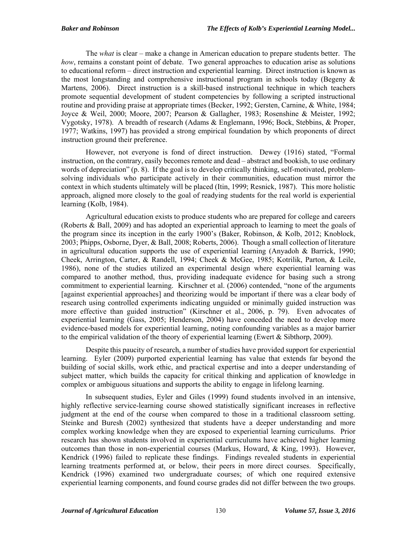The *what* is clear – make a change in American education to prepare students better. The *how*, remains a constant point of debate. Two general approaches to education arise as solutions to educational reform – direct instruction and experiential learning. Direct instruction is known as the most longstanding and comprehensive instructional program in schools today (Begeny  $\&$ Martens, 2006). Direct instruction is a skill-based instructional technique in which teachers promote sequential development of student competencies by following a scripted instructional routine and providing praise at appropriate times (Becker, 1992; Gersten, Carnine, & White, 1984; Joyce & Weil, 2000; Moore, 2007; Pearson & Gallagher, 1983; Rosenshine & Meister, 1992; Vygotsky, 1978). A breadth of research (Adams & Englemann, 1996; Bock, Stebbins, & Proper, 1977; Watkins, 1997) has provided a strong empirical foundation by which proponents of direct instruction ground their preference.

However, not everyone is fond of direct instruction. Dewey (1916) stated, "Formal instruction, on the contrary, easily becomes remote and dead – abstract and bookish, to use ordinary words of depreciation" (p. 8). If the goal is to develop critically thinking, self-motivated, problemsolving individuals who participate actively in their communities, education must mirror the context in which students ultimately will be placed (Itin, 1999; Resnick, 1987). This more holistic approach, aligned more closely to the goal of readying students for the real world is experiential learning (Kolb, 1984).

Agricultural education exists to produce students who are prepared for college and careers (Roberts & Ball, 2009) and has adopted an experiential approach to learning to meet the goals of the program since its inception in the early 1900's (Baker, Robinson, & Kolb, 2012; Knoblock, 2003; Phipps, Osborne, Dyer, & Ball, 2008; Roberts, 2006). Though a small collection of literature in agricultural education supports the use of experiential learning (Anyadoh & Barrick, 1990; Cheek, Arrington, Carter, & Randell, 1994; Cheek & McGee, 1985; Kotrilik, Parton, & Leile, 1986), none of the studies utilized an experimental design where experiential learning was compared to another method, thus, providing inadequate evidence for basing such a strong commitment to experiential learning. Kirschner et al. (2006) contended, "none of the arguments [against experiential approaches] and theorizing would be important if there was a clear body of research using controlled experiments indicating unguided or minimally guided instruction was more effective than guided instruction" (Kirschner et al., 2006, p. 79). Even advocates of experiential learning (Gass, 2005; Henderson, 2004) have conceded the need to develop more evidence-based models for experiential learning, noting confounding variables as a major barrier to the empirical validation of the theory of experiential learning (Ewert & Sibthorp, 2009).

Despite this paucity of research, a number of studies have provided support for experiential learning. Eyler (2009) purported experiential learning has value that extends far beyond the building of social skills, work ethic, and practical expertise and into a deeper understanding of subject matter, which builds the capacity for critical thinking and application of knowledge in complex or ambiguous situations and supports the ability to engage in lifelong learning.

In subsequent studies, Eyler and Giles (1999) found students involved in an intensive, highly reflective service-learning course showed statistically significant increases in reflective judgment at the end of the course when compared to those in a traditional classroom setting. Steinke and Buresh (2002) synthesized that students have a deeper understanding and more complex working knowledge when they are exposed to experiential learning curriculums. Prior research has shown students involved in experiential curriculums have achieved higher learning outcomes than those in non-experiential courses (Markus, Howard, & King, 1993). However, Kendrick (1996) failed to replicate these findings. Findings revealed students in experiential learning treatments performed at, or below, their peers in more direct courses. Specifically, Kendrick (1996) examined two undergraduate courses; of which one required extensive experiential learning components, and found course grades did not differ between the two groups.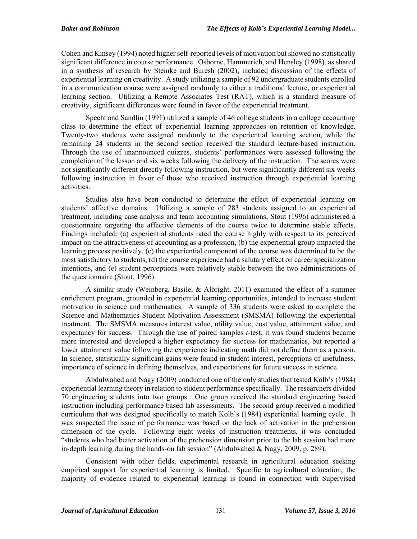Cohen and Kinsey (1994) noted higher self-reported levels of motivation but showed no statistically significant difference in course performance. Osborne, Hammerich, and Hensley (1998), as shared in a synthesis of research by Steinke and Buresh (2002), included discussion of the effects of experiential learning on creativity. A study utilizing a sample of 92 undergraduate students enrolled in a communication course were assigned randomly to either a traditional lecture, or experiential learning section. Utilizing a Remote Associates Test (RAT), which is a standard measure of creativity, significant differences were found in favor of the experiential treatment.

Specht and Sandlin (1991) utilized a sample of 46 college students in a college accounting class to determine the effect of experiential learning approaches on retention of knowledge. Twenty-two students were assigned randomly to the experiential learning section, while the remaining 24 students in the second section received the standard lecture-based instruction. Through the use of unannounced quizzes, students' performances were assessed following the completion of the lesson and six weeks following the delivery of the instruction. The scores were not significantly different directly following instruction, but were significantly different six weeks following instruction in favor of those who received instruction through experiential learning activities.

Studies also have been conducted to determine the effect of experiential learning on students' affective domains. Utilizing a sample of 283 students assigned to an experiential treatment, including case analysis and team accounting simulations, Stout (1996) administered a questionnaire targeting the affective elements of the course twice to determine stable effects. Findings included: (a) experiential students rated the course highly with respect to its perceived impact on the attractiveness of accounting as a profession, (b) the experiential group impacted the learning process positively, (c) the experiential component of the course was determined to be the most satisfactory to students, (d) the course experience had a salutary effect on career specialization intentions, and (e) student perceptions were relatively stable between the two administrations of the questionnaire (Stout, 1996).

A similar study (Weinberg, Basile, & Albright, 2011) examined the effect of a summer enrichment program, grounded in experiential learning opportunities, intended to increase student motivation in science and mathematics. A sample of 336 students were asked to complete the Science and Mathematics Student Motivation Assessment (SMSMA) following the experiential treatment. The SMSMA measures interest value, utility value, cost value, attainment value, and expectancy for success. Through the use of paired samples *t*-test, it was found students became more interested and developed a higher expectancy for success for mathematics, but reported a lower attainment value following the experience indicating math did not define them as a person. In science, statistically significant gains were found in student interest, perceptions of usefulness, importance of science in defining themselves, and expectations for future success in science.

Abdulwahed and Nagy (2009) conducted one of the only studies that tested Kolb's (1984) experiential learning theory in relation to student performance specifically. The researchers divided 70 engineering students into two groups. One group received the standard engineering based instruction including performance based lab assessments. The second group received a modified curriculum that was designed specifically to match Kolb's (1984) experiential learning cycle. It was suspected the issue of performance was based on the lack of activation in the prehension dimension of the cycle. Following eight weeks of instruction treatments, it was concluded "students who had better activation of the prehension dimension prior to the lab session had more in-depth learning during the hands-on lab session" (Abdulwahed  $\&$  Nagy, 2009, p. 289).

 Consistent with other fields, experimental research in agricultural education seeking empirical support for experiential learning is limited. Specific to agricultural education, the majority of evidence related to experiential learning is found in connection with Supervised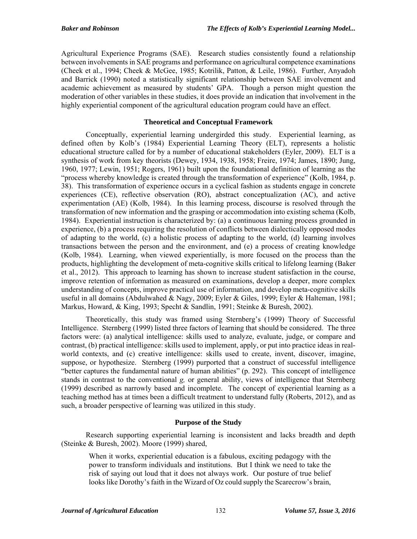Agricultural Experience Programs (SAE). Research studies consistently found a relationship between involvements in SAE programs and performance on agricultural competence examinations (Cheek et al., 1994; Cheek & McGee, 1985; Kotrilik, Patton, & Leile, 1986). Further, Anyadoh and Barrick (1990) noted a statistically significant relationship between SAE involvement and academic achievement as measured by students' GPA. Though a person might question the moderation of other variables in these studies, it does provide an indication that involvement in the highly experiential component of the agricultural education program could have an effect.

## **Theoretical and Conceptual Framework**

Conceptually, experiential learning undergirded this study. Experiential learning, as defined often by Kolb's (1984) Experiential Learning Theory (ELT), represents a holistic educational structure called for by a number of educational stakeholders (Eyler, 2009). ELT is a synthesis of work from key theorists (Dewey, 1934, 1938, 1958; Freire, 1974; James, 1890; Jung, 1960, 1977; Lewin, 1951; Rogers, 1961) built upon the foundational definition of learning as the "process whereby knowledge is created through the transformation of experience" (Kolb, 1984, p. 38). This transformation of experience occurs in a cyclical fashion as students engage in concrete experiences (CE), reflective observation (RO), abstract conceptualization (AC), and active experimentation (AE) (Kolb, 1984). In this learning process, discourse is resolved through the transformation of new information and the grasping or accommodation into existing schema (Kolb, 1984). Experiential instruction is characterized by: (a) a continuous learning process grounded in experience, (b) a process requiring the resolution of conflicts between dialectically opposed modes of adapting to the world, (c) a holistic process of adapting to the world, (d) learning involves transactions between the person and the environment, and (e) a process of creating knowledge (Kolb, 1984). Learning, when viewed experientially, is more focused on the process than the products, highlighting the development of meta-cognitive skills critical to lifelong learning (Baker et al., 2012). This approach to learning has shown to increase student satisfaction in the course, improve retention of information as measured on examinations, develop a deeper, more complex understanding of concepts, improve practical use of information, and develop meta-cognitive skills useful in all domains (Abdulwahed & Nagy, 2009; Eyler & Giles, 1999; Eyler & Halteman, 1981; Markus, Howard, & King, 1993; Specht & Sandlin, 1991; Steinke & Buresh, 2002).

Theoretically, this study was framed using Sternberg's (1999) Theory of Successful Intelligence. Sternberg (1999) listed three factors of learning that should be considered. The three factors were: (a) analytical intelligence: skills used to analyze, evaluate, judge, or compare and contrast, (b) practical intelligence: skills used to implement, apply, or put into practice ideas in realworld contexts, and (c) creative intelligence: skills used to create, invent, discover, imagine, suppose, or hypothesize. Sternberg (1999) purported that a construct of successful intelligence "better captures the fundamental nature of human abilities" (p. 292). This concept of intelligence stands in contrast to the conventional *g,* or general ability, views of intelligence that Sternberg (1999) described as narrowly based and incomplete. The concept of experiential learning as a teaching method has at times been a difficult treatment to understand fully (Roberts, 2012), and as such, a broader perspective of learning was utilized in this study.

## **Purpose of the Study**

Research supporting experiential learning is inconsistent and lacks breadth and depth (Steinke & Buresh, 2002). Moore (1999) shared,

When it works, experiential education is a fabulous, exciting pedagogy with the power to transform individuals and institutions. But I think we need to take the risk of saying out loud that it does not always work. Our posture of true belief looks like Dorothy's faith in the Wizard of Oz could supply the Scarecrow's brain,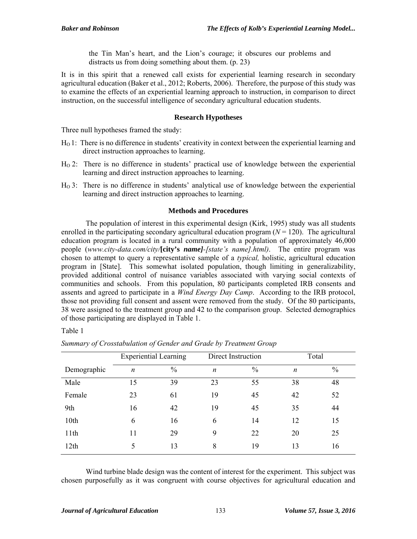the Tin Man's heart, and the Lion's courage; it obscures our problems and distracts us from doing something about them. (p. 23)

It is in this spirit that a renewed call exists for experiential learning research in secondary agricultural education (Baker et al., 2012; Roberts, 2006). Therefore, the purpose of this study was to examine the effects of an experiential learning approach to instruction, in comparison to direct instruction, on the successful intelligence of secondary agricultural education students.

## **Research Hypotheses**

Three null hypotheses framed the study:

- HO 1: There is no difference in students' creativity in context between the experiential learning and direct instruction approaches to learning.
- HO 2: There is no difference in students' practical use of knowledge between the experiential learning and direct instruction approaches to learning.
- $H<sub>0</sub>$ 3: There is no difference in students' analytical use of knowledge between the experiential learning and direct instruction approaches to learning.

## **Methods and Procedures**

The population of interest in this experimental design (Kirk, 1995) study was all students enrolled in the participating secondary agricultural education program  $(N = 120)$ . The agricultural education program is located in a rural community with a population of approximately 46,000 people (*www.city-data.com/city/***[city's** *name]-[state's name].html)*. The entire program was chosen to attempt to query a representative sample of a *typical,* holistic, agricultural education program in [State]. This somewhat isolated population, though limiting in generalizability, provided additional control of nuisance variables associated with varying social contexts of communities and schools. From this population, 80 participants completed IRB consents and assents and agreed to participate in a *Wind Energy Day Camp*. According to the IRB protocol, those not providing full consent and assent were removed from the study. Of the 80 participants, 38 were assigned to the treatment group and 42 to the comparison group. Selected demographics of those participating are displayed in Table 1.

Table 1

|             | <b>Experiential Learning</b> |               | Direct Instruction |      | Total            |               |
|-------------|------------------------------|---------------|--------------------|------|------------------|---------------|
| Demographic | n                            | $\frac{0}{0}$ | n                  | $\%$ | $\boldsymbol{n}$ | $\frac{0}{0}$ |
| Male        | 15                           | 39            | 23                 | 55   | 38               | 48            |
| Female      | 23                           | 61            | 19                 | 45   | 42               | 52            |
| 9th         | 16                           | 42            | 19                 | 45   | 35               | 44            |
| 10th        | 6                            | 16            | 6                  | 14   | 12               | 15            |
| 11th        | 11                           | 29            | 9                  | 22   | 20               | 25            |
| 12th        |                              | 13            | 8                  | 19   | 13               | 16            |

*Summary of Crosstabulation of Gender and Grade by Treatment Group* 

Wind turbine blade design was the content of interest for the experiment. This subject was chosen purposefully as it was congruent with course objectives for agricultural education and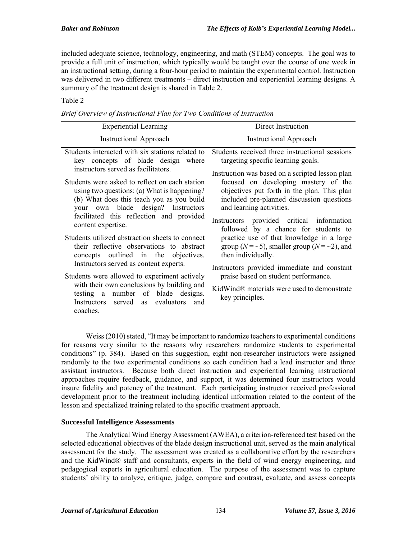included adequate science, technology, engineering, and math (STEM) concepts. The goal was to provide a full unit of instruction, which typically would be taught over the course of one week in an instructional setting, during a four-hour period to maintain the experimental control. Instruction was delivered in two different treatments – direct instruction and experiential learning designs. A summary of the treatment design is shared in Table 2.

## Table 2

| <b>Experiential Learning</b>                                                                                                                                                                                                                                                                                                                                                                                                                                                                                                                                                                                                                                                                                                                         | Direct Instruction                                                                                                                                                                                                                                                                                                                                                                                                                                                                                                                                                                                                                                                              |  |  |
|------------------------------------------------------------------------------------------------------------------------------------------------------------------------------------------------------------------------------------------------------------------------------------------------------------------------------------------------------------------------------------------------------------------------------------------------------------------------------------------------------------------------------------------------------------------------------------------------------------------------------------------------------------------------------------------------------------------------------------------------------|---------------------------------------------------------------------------------------------------------------------------------------------------------------------------------------------------------------------------------------------------------------------------------------------------------------------------------------------------------------------------------------------------------------------------------------------------------------------------------------------------------------------------------------------------------------------------------------------------------------------------------------------------------------------------------|--|--|
| <b>Instructional Approach</b>                                                                                                                                                                                                                                                                                                                                                                                                                                                                                                                                                                                                                                                                                                                        | <b>Instructional Approach</b>                                                                                                                                                                                                                                                                                                                                                                                                                                                                                                                                                                                                                                                   |  |  |
| Students interacted with six stations related to<br>key concepts of blade design where<br>instructors served as facilitators.<br>Students were asked to reflect on each station<br>using two questions: (a) What is happening?<br>(b) What does this teach you as you build<br>your own blade design? Instructors<br>facilitated this reflection and provided<br>content expertise.<br>Students utilized abstraction sheets to connect<br>their reflective observations to abstract<br>concepts outlined in the objectives.<br>Instructors served as content experts.<br>Students were allowed to experiment actively<br>with their own conclusions by building and<br>testing a number of blade designs.<br>Instructors served as evaluators<br>and | Students received three instructional sessions<br>targeting specific learning goals.<br>Instruction was based on a scripted lesson plan<br>focused on developing mastery of the<br>objectives put forth in the plan. This plan<br>included pre-planned discussion questions<br>and learning activities.<br>Instructors provided critical information<br>followed by a chance for students to<br>practice use of that knowledge in a large<br>group ( $N = -5$ ), smaller group ( $N = -2$ ), and<br>then individually.<br>Instructors provided immediate and constant<br>praise based on student performance.<br>KidWind® materials were used to demonstrate<br>key principles. |  |  |
| coaches.                                                                                                                                                                                                                                                                                                                                                                                                                                                                                                                                                                                                                                                                                                                                             |                                                                                                                                                                                                                                                                                                                                                                                                                                                                                                                                                                                                                                                                                 |  |  |

*Brief Overview of Instructional Plan for Two Conditions of Instruction* 

Weiss (2010) stated, "It may be important to randomize teachers to experimental conditions for reasons very similar to the reasons why researchers randomize students to experimental conditions" (p. 384). Based on this suggestion, eight non-researcher instructors were assigned randomly to the two experimental conditions so each condition had a lead instructor and three assistant instructors. Because both direct instruction and experiential learning instructional approaches require feedback, guidance, and support, it was determined four instructors would insure fidelity and potency of the treatment. Each participating instructor received professional development prior to the treatment including identical information related to the content of the lesson and specialized training related to the specific treatment approach.

# **Successful Intelligence Assessments**

The Analytical Wind Energy Assessment (AWEA), a criterion-referenced test based on the selected educational objectives of the blade design instructional unit, served as the main analytical assessment for the study. The assessment was created as a collaborative effort by the researchers and the KidWind® staff and consultants, experts in the field of wind energy engineering, and pedagogical experts in agricultural education. The purpose of the assessment was to capture students' ability to analyze, critique, judge, compare and contrast, evaluate, and assess concepts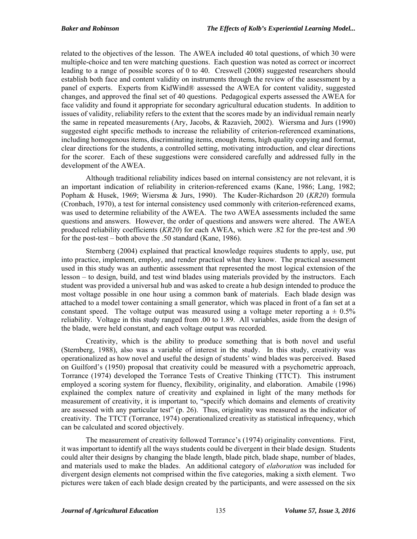related to the objectives of the lesson. The AWEA included 40 total questions, of which 30 were multiple-choice and ten were matching questions. Each question was noted as correct or incorrect leading to a range of possible scores of 0 to 40. Creswell (2008) suggested researchers should establish both face and content validity on instruments through the review of the assessment by a panel of experts. Experts from KidWind® assessed the AWEA for content validity, suggested changes, and approved the final set of 40 questions. Pedagogical experts assessed the AWEA for face validity and found it appropriate for secondary agricultural education students. In addition to issues of validity, reliability refers to the extent that the scores made by an individual remain nearly the same in repeated measurements (Ary, Jacobs, & Razavieh, 2002). Wiersma and Jurs (1990) suggested eight specific methods to increase the reliability of criterion-referenced examinations, including homogenous items, discriminating items, enough items, high quality copying and format, clear directions for the students, a controlled setting, motivating introduction, and clear directions for the scorer. Each of these suggestions were considered carefully and addressed fully in the development of the AWEA.

Although traditional reliability indices based on internal consistency are not relevant, it is an important indication of reliability in criterion-referenced exams (Kane, 1986; Lang, 1982; Popham & Husek, 1969; Wiersma & Jurs, 1990). The Kuder-Richardson 20 (*KR20*) formula (Cronbach, 1970), a test for internal consistency used commonly with criterion-referenced exams, was used to determine reliability of the AWEA. The two AWEA assessments included the same questions and answers. However, the order of questions and answers were altered. The AWEA produced reliability coefficients (*KR20*) for each AWEA, which were .82 for the pre-test and .90 for the post-test – both above the .50 standard (Kane, 1986).

Sternberg (2004) explained that practical knowledge requires students to apply, use, put into practice, implement, employ, and render practical what they know. The practical assessment used in this study was an authentic assessment that represented the most logical extension of the lesson – to design, build, and test wind blades using materials provided by the instructors. Each student was provided a universal hub and was asked to create a hub design intended to produce the most voltage possible in one hour using a common bank of materials. Each blade design was attached to a model tower containing a small generator, which was placed in front of a fan set at a constant speed. The voltage output was measured using a voltage meter reporting  $a \pm 0.5\%$ reliability. Voltage in this study ranged from .00 to 1.89. All variables, aside from the design of the blade, were held constant, and each voltage output was recorded.

Creativity, which is the ability to produce something that is both novel and useful (Sternberg, 1988), also was a variable of interest in the study. In this study, creativity was operationalized as how novel and useful the design of students' wind blades was perceived. Based on Guilford's (1950) proposal that creativity could be measured with a psychometric approach, Torrance (1974) developed the Torrance Tests of Creative Thinking (TTCT). This instrument employed a scoring system for fluency, flexibility, originality, and elaboration. Amabile (1996) explained the complex nature of creativity and explained in light of the many methods for measurement of creativity, it is important to, "specify which domains and elements of creativity are assessed with any particular test" (p. 26). Thus, originality was measured as the indicator of creativity. The TTCT (Torrance, 1974) operationalized creativity as statistical infrequency, which can be calculated and scored objectively.

The measurement of creativity followed Torrance's (1974) originality conventions. First, it was important to identify all the ways students could be divergent in their blade design. Students could alter their designs by changing the blade length, blade pitch, blade shape, number of blades, and materials used to make the blades. An additional category of *elaboration* was included for divergent design elements not comprised within the five categories, making a sixth element. Two pictures were taken of each blade design created by the participants, and were assessed on the six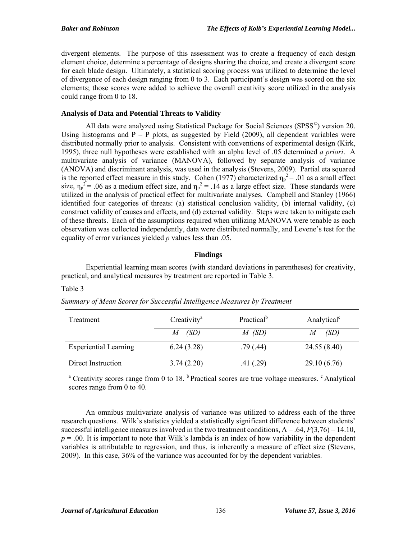divergent elements. The purpose of this assessment was to create a frequency of each design element choice, determine a percentage of designs sharing the choice, and create a divergent score for each blade design. Ultimately, a statistical scoring process was utilized to determine the level of divergence of each design ranging from 0 to 3. Each participant's design was scored on the six elements; those scores were added to achieve the overall creativity score utilized in the analysis could range from 0 to 18.

## **Analysis of Data and Potential Threats to Validity**

All data were analyzed using Statistical Package for Social Sciences (SPSS<sup>©</sup>) version 20. Using histograms and  $P - P$  plots, as suggested by Field (2009), all dependent variables were distributed normally prior to analysis. Consistent with conventions of experimental design (Kirk, 1995), three null hypotheses were established with an alpha level of .05 determined *a priori*. A multivariate analysis of variance (MANOVA), followed by separate analysis of variance (ANOVA) and discriminant analysis, was used in the analysis (Stevens, 2009). Partial eta squared is the reported effect measure in this study. Cohen (1977) characterized  $\eta_p^2 = .01$  as a small effect size,  $\eta_p^2$  = .06 as a medium effect size, and  $\eta_p^2$  = .14 as a large effect size. These standards were utilized in the analysis of practical effect for multivariate analyses. Campbell and Stanley (1966) identified four categories of threats: (a) statistical conclusion validity, (b) internal validity, (c) construct validity of causes and effects, and (d) external validity. Steps were taken to mitigate each of these threats. Each of the assumptions required when utilizing MANOVA were tenable as each observation was collected independently, data were distributed normally, and Levene's test for the equality of error variances yielded *p* values less than .05.

# **Findings**

Experiential learning mean scores (with standard deviations in parentheses) for creativity, practical, and analytical measures by treatment are reported in Table 3.

## Table 3

| Treatment                    | $C$ reativity <sup>a</sup> | Practical <sup>b</sup> | Analytical <sup>c</sup> |  |
|------------------------------|----------------------------|------------------------|-------------------------|--|
|                              | $M$ (SD)                   | $M$ (SD)               | (SD)                    |  |
| <b>Experiential Learning</b> | 6.24(3.28)                 | .79(.44)               | 24.55 (8.40)            |  |
| Direct Instruction           | 3.74(2.20)                 | .41(0.29)              | 29.10(6.76)             |  |

# *Summary of Mean Scores for Successful Intelligence Measures by Treatment*

<sup>a</sup> Creativity scores range from 0 to 18. <sup>b</sup> Practical scores are true voltage measures. <sup>c</sup> Analytical scores range from 0 to 40.

An omnibus multivariate analysis of variance was utilized to address each of the three research questions. Wilk's statistics yielded a statistically significant difference between students' successful intelligence measures involved in the two treatment conditions,  $\Lambda = .64$ ,  $F(3,76) = 14.10$ ,  $p = 0.00$ . It is important to note that Wilk's lambda is an index of how variability in the dependent variables is attributable to regression, and thus, is inherently a measure of effect size (Stevens, 2009). In this case, 36% of the variance was accounted for by the dependent variables.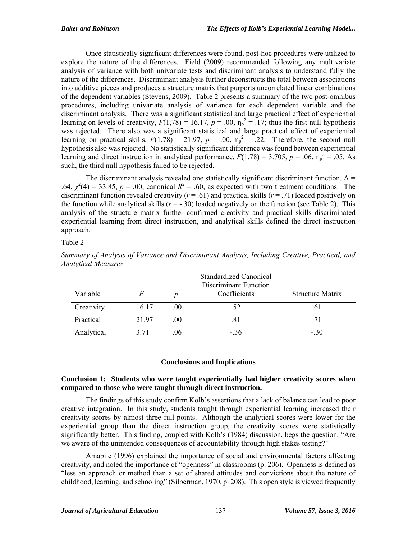Once statistically significant differences were found, post-hoc procedures were utilized to explore the nature of the differences. Field (2009) recommended following any multivariate analysis of variance with both univariate tests and discriminant analysis to understand fully the nature of the differences. Discriminant analysis further deconstructs the total between associations into additive pieces and produces a structure matrix that purports uncorrelated linear combinations of the dependent variables (Stevens, 2009). Table 2 presents a summary of the two post-omnibus procedures, including univariate analysis of variance for each dependent variable and the discriminant analysis. There was a significant statistical and large practical effect of experiential learning on levels of creativity,  $F(1,78) = 16.17$ ,  $p = .00$ ,  $\eta_p^2 = .17$ ; thus the first null hypothesis was rejected. There also was a significant statistical and large practical effect of experiential learning on practical skills,  $F(1,78) = 21.97$ ,  $p = .00$ ,  $\eta_p^2 = .22$ . Therefore, the second null hypothesis also was rejected. No statistically significant difference was found between experiential learning and direct instruction in analytical performance,  $F(1,78) = 3.705$ ,  $p = .06$ ,  $\eta_p^2 = .05$ . As such, the third null hypothesis failed to be rejected.

The discriminant analysis revealed one statistically significant discriminant function,  $\Lambda$  = .64,  $\chi^2(4) = 33.85$ ,  $p = .00$ , canonical  $R^2 = .60$ , as expected with two treatment conditions. The discriminant function revealed creativity ( $r = .61$ ) and practical skills ( $r = .71$ ) loaded positively on the function while analytical skills  $(r = -.30)$  loaded negatively on the function (see Table 2). This analysis of the structure matrix further confirmed creativity and practical skills discriminated experiential learning from direct instruction, and analytical skills defined the direct instruction approach.

## Table 2

| Variable   | F     | p   | Standardized Canonical<br><b>Discriminant Function</b><br>Coefficients | <b>Structure Matrix</b> |
|------------|-------|-----|------------------------------------------------------------------------|-------------------------|
| Creativity | 16.17 | .00 | .52                                                                    | .61                     |
| Practical  | 2197  | .00 | .81                                                                    | .71                     |
| Analytical | 3.71  | .06 | $-.36$                                                                 | $-.30$                  |

*Summary of Analysis of Variance and Discriminant Analysis, Including Creative, Practical, and Analytical Measures* 

## **Conclusions and Implications**

#### **Conclusion 1: Students who were taught experientially had higher creativity scores when compared to those who were taught through direct instruction.**

The findings of this study confirm Kolb's assertions that a lack of balance can lead to poor creative integration. In this study, students taught through experiential learning increased their creativity scores by almost three full points. Although the analytical scores were lower for the experiential group than the direct instruction group, the creativity scores were statistically significantly better. This finding, coupled with Kolb's (1984) discussion, begs the question, "Are we aware of the unintended consequences of accountability through high stakes testing?"

Amabile (1996) explained the importance of social and environmental factors affecting creativity, and noted the importance of "openness" in classrooms (p. 206). Openness is defined as "less an approach or method than a set of shared attitudes and convictions about the nature of childhood, learning, and schooling" (Silberman, 1970, p. 208). This open style is viewed frequently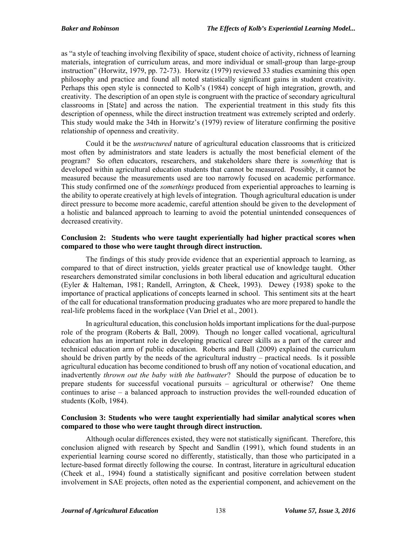as "a style of teaching involving flexibility of space, student choice of activity, richness of learning materials, integration of curriculum areas, and more individual or small-group than large-group instruction" (Horwitz, 1979, pp. 72-73). Horwitz (1979) reviewed 33 studies examining this open philosophy and practice and found all noted statistically significant gains in student creativity. Perhaps this open style is connected to Kolb's (1984) concept of high integration, growth, and creativity. The description of an open style is congruent with the practice of secondary agricultural classrooms in [State] and across the nation. The experiential treatment in this study fits this description of openness, while the direct instruction treatment was extremely scripted and orderly. This study would make the 34th in Horwitz's (1979) review of literature confirming the positive relationship of openness and creativity.

Could it be the *unstructured* nature of agricultural education classrooms that is criticized most often by administrators and state leaders is actually the most beneficial element of the program? So often educators, researchers, and stakeholders share there is *something* that is developed within agricultural education students that cannot be measured. Possibly, it cannot be measured because the measurements used are too narrowly focused on academic performance. This study confirmed one of the *somethings* produced from experiential approaches to learning is the ability to operate creatively at high levels of integration. Though agricultural education is under direct pressure to become more academic, careful attention should be given to the development of a holistic and balanced approach to learning to avoid the potential unintended consequences of decreased creativity.

## **Conclusion 2: Students who were taught experientially had higher practical scores when compared to those who were taught through direct instruction.**

The findings of this study provide evidence that an experiential approach to learning, as compared to that of direct instruction, yields greater practical use of knowledge taught. Other researchers demonstrated similar conclusions in both liberal education and agricultural education (Eyler & Halteman, 1981; Randell, Arrington, & Cheek, 1993). Dewey (1938) spoke to the importance of practical applications of concepts learned in school. This sentiment sits at the heart of the call for educational transformation producing graduates who are more prepared to handle the real-life problems faced in the workplace (Van Driel et al., 2001).

In agricultural education, this conclusion holds important implications for the dual-purpose role of the program (Roberts & Ball, 2009). Though no longer called vocational, agricultural education has an important role in developing practical career skills as a part of the career and technical education arm of public education. Roberts and Ball (2009) explained the curriculum should be driven partly by the needs of the agricultural industry – practical needs. Is it possible agricultural education has become conditioned to brush off any notion of vocational education, and inadvertently *thrown out the baby with the bathwater*? Should the purpose of education be to prepare students for successful vocational pursuits – agricultural or otherwise? One theme continues to arise – a balanced approach to instruction provides the well-rounded education of students (Kolb, 1984).

## **Conclusion 3: Students who were taught experientially had similar analytical scores when compared to those who were taught through direct instruction.**

Although ocular differences existed, they were not statistically significant. Therefore, this conclusion aligned with research by Specht and Sandlin (1991), which found students in an experiential learning course scored no differently, statistically, than those who participated in a lecture-based format directly following the course. In contrast, literature in agricultural education (Cheek et al., 1994) found a statistically significant and positive correlation between student involvement in SAE projects, often noted as the experiential component, and achievement on the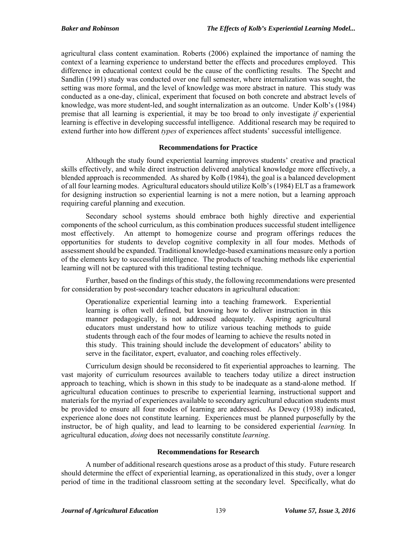agricultural class content examination. Roberts (2006) explained the importance of naming the context of a learning experience to understand better the effects and procedures employed. This difference in educational context could be the cause of the conflicting results. The Specht and Sandlin (1991) study was conducted over one full semester, where internalization was sought, the setting was more formal, and the level of knowledge was more abstract in nature. This study was conducted as a one-day, clinical, experiment that focused on both concrete and abstract levels of knowledge, was more student-led, and sought internalization as an outcome. Under Kolb's (1984) premise that all learning is experiential, it may be too broad to only investigate *if* experiential learning is effective in developing successful intelligence. Additional research may be required to extend further into how different *types* of experiences affect students' successful intelligence.

## **Recommendations for Practice**

Although the study found experiential learning improves students' creative and practical skills effectively, and while direct instruction delivered analytical knowledge more effectively, a blended approach is recommended. As shared by Kolb (1984), the goal is a balanced development of all four learning modes. Agricultural educators should utilize Kolb's (1984) ELT as a framework for designing instruction so experiential learning is not a mere notion, but a learning approach requiring careful planning and execution.

Secondary school systems should embrace both highly directive and experiential components of the school curriculum, as this combination produces successful student intelligence most effectively. An attempt to homogenize course and program offerings reduces the opportunities for students to develop cognitive complexity in all four modes. Methods of assessment should be expanded. Traditional knowledge-based examinations measure only a portion of the elements key to successful intelligence. The products of teaching methods like experiential learning will not be captured with this traditional testing technique.

Further, based on the findings of this study, the following recommendations were presented for consideration by post-secondary teacher educators in agricultural education:

Operationalize experiential learning into a teaching framework. Experiential learning is often well defined, but knowing how to deliver instruction in this manner pedagogically, is not addressed adequately. Aspiring agricultural educators must understand how to utilize various teaching methods to guide students through each of the four modes of learning to achieve the results noted in this study. This training should include the development of educators' ability to serve in the facilitator, expert, evaluator, and coaching roles effectively.

Curriculum design should be reconsidered to fit experiential approaches to learning. The vast majority of curriculum resources available to teachers today utilize a direct instruction approach to teaching, which is shown in this study to be inadequate as a stand-alone method. If agricultural education continues to prescribe to experiential learning, instructional support and materials for the myriad of experiences available to secondary agricultural education students must be provided to ensure all four modes of learning are addressed. As Dewey (1938) indicated, experience alone does not constitute learning. Experiences must be planned purposefully by the instructor, be of high quality, and lead to learning to be considered experiential *learning.* In agricultural education, *doing* does not necessarily constitute *learning*.

## **Recommendations for Research**

A number of additional research questions arose as a product of this study. Future research should determine the effect of experiential learning, as operationalized in this study, over a longer period of time in the traditional classroom setting at the secondary level. Specifically, what do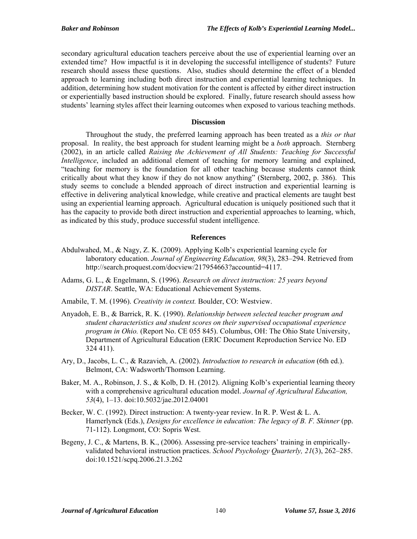secondary agricultural education teachers perceive about the use of experiential learning over an extended time? How impactful is it in developing the successful intelligence of students? Future research should assess these questions. Also, studies should determine the effect of a blended approach to learning including both direct instruction and experiential learning techniques. In addition, determining how student motivation for the content is affected by either direct instruction or experientially based instruction should be explored. Finally, future research should assess how students' learning styles affect their learning outcomes when exposed to various teaching methods.

#### **Discussion**

Throughout the study, the preferred learning approach has been treated as a *this or that* proposal. In reality, the best approach for student learning might be a *both* approach. Sternberg (2002), in an article called *Raising the Achievement of All Students: Teaching for Successful Intelligence*, included an additional element of teaching for memory learning and explained, "teaching for memory is the foundation for all other teaching because students cannot think critically about what they know if they do not know anything" (Sternberg, 2002, p. 386). This study seems to conclude a blended approach of direct instruction and experiential learning is effective in delivering analytical knowledge, while creative and practical elements are taught best using an experiential learning approach. Agricultural education is uniquely positioned such that it has the capacity to provide both direct instruction and experiential approaches to learning, which, as indicated by this study, produce successful student intelligence.

## **References**

- Abdulwahed, M., & Nagy, Z. K. (2009). Applying Kolb's experiential learning cycle for laboratory education. *Journal of Engineering Education, 98*(3), 283–294. Retrieved from http://search.proquest.com/docview/217954663?accountid=4117.
- Adams, G. L., & Engelmann, S. (1996). *Research on direct instruction: 25 years beyond DISTAR*. Seattle, WA: Educational Achievement Systems.
- Amabile, T. M. (1996). *Creativity in context.* Boulder, CO: Westview.
- Anyadoh, E. B., & Barrick, R. K. (1990). *Relationship between selected teacher program and student characteristics and student scores on their supervised occupational experience program in Ohio.* (Report No. CE 055 845). Columbus, OH: The Ohio State University, Department of Agricultural Education (ERIC Document Reproduction Service No. ED 324 411).
- Ary, D., Jacobs, L. C., & Razavieh, A. (2002). *Introduction to research in education* (6th ed.). Belmont, CA: Wadsworth/Thomson Learning.
- Baker, M. A., Robinson, J. S., & Kolb, D. H. (2012). Aligning Kolb's experiential learning theory with a comprehensive agricultural education model. *Journal of Agricultural Education, 53*(4), 1–13. doi:10.5032/jae.2012.04001
- Becker, W. C. (1992). Direct instruction: A twenty-year review. In R. P. West & L. A. Hamerlynck (Eds.), *Designs for excellence in education: The legacy of B. F. Skinner* (pp. 71-112). Longmont, CO: Sopris West.
- Begeny, J. C., & Martens, B. K., (2006). Assessing pre-service teachers' training in empiricallyvalidated behavioral instruction practices. *School Psychology Quarterly, 21*(3), 262–285. doi:10.1521/scpq.2006.21.3.262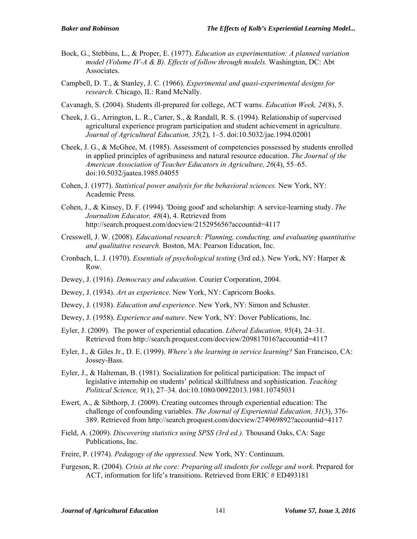- Bock, G., Stebbins, L., & Proper, E. (1977). *Education as experimentation: A planned variation model (Volume IV-A & B). Effects of follow through models.* Washington, DC: Abt Associates.
- Campbell, D. T., & Stanley, J. C. (1966). *Experimental and quasi-experimental designs for research.* Chicago, IL: Rand McNally.
- Cavanagh, S. (2004). Students ill-prepared for college, ACT warns. *Education Week, 24*(8), 5.
- Cheek, J. G., Arrington, L. R., Carter, S., & Randall, R. S. (1994). Relationship of supervised agricultural experience program participation and student achievement in agriculture. *Journal of Agricultural Education, 35*(2), 1–5. doi:10.5032/jae.1994.02001
- Cheek, J. G., & McGhee, M. (1985). Assessment of competencies possessed by students enrolled in applied principles of agribusiness and natural resource education. *The Journal of the American Association of Teacher Educators in Agriculture, 26*(4), 55–65. doi:10.5032/jaatea.1985.04055
- Cohen, J. (1977). *Statistical power analysis for the behavioral sciences.* New York, NY: Academic Press.
- Cohen, J., & Kinsey, D. F. (1994). 'Doing good' and scholarship: A service-learning study. *The Journalism Educator, 48*(4), 4. Retrieved from http://search.proquest.com/docview/215295656?accountid=4117
- Cresswell, J. W. (2008). *Educational research: Planning, conducting, and evaluating quantitative and qualitative research.* Boston, MA: Pearson Education, Inc.
- Cronbach, L. J. (1970). *Essentials of psychological testing* (3rd ed.). New York, NY: Harper & Row.
- Dewey, J. (1916). *Democracy and education.* Courier Corporation, 2004.
- Dewey, J. (1934). *Art as experience.* New York, NY: Capricorn Books.
- Dewey, J. (1938). *Education and experience*. New York, NY: Simon and Schuster.
- Dewey, J. (1958). *Experience and nature*. New York, NY: Dover Publications, Inc.
- Eyler, J. (2009). The power of experiential education. *Liberal Education, 95*(4), 24–31. Retrieved from http://search.proquest.com/docview/209817016?accountid=4117
- Eyler, J., & Giles Jr., D. E. (1999). *Where's the learning in service learning?* San Francisco, CA: Jossey-Bass.
- Eyler, J., & Halteman, B. (1981). Socialization for political participation: The impact of legislative internship on students' political skillfulness and sophistication. *Teaching Political Science, 9*(1), 27–34. doi:10.1080/00922013.1981.10745031
- Ewert, A., & Sibthorp, J. (2009). Creating outcomes through experiential education: The challenge of confounding variables. *The Journal of Experiential Education, 31*(3), 376- 389. Retrieved from http://search.proquest.com/docview/274969892?accountid=4117
- Field, A. (2009). *Discovering statistics using SPSS (3rd ed.).* Thousand Oaks, CA: Sage Publications, Inc.
- Freire, P. (1974). *Pedagogy of the oppressed*. New York, NY: Continuum.
- Furgeson, R. (2004). *Crisis at the core: Preparing all students for college and work*. Prepared for ACT, information for life's transitions. Retrieved from ERIC # ED493181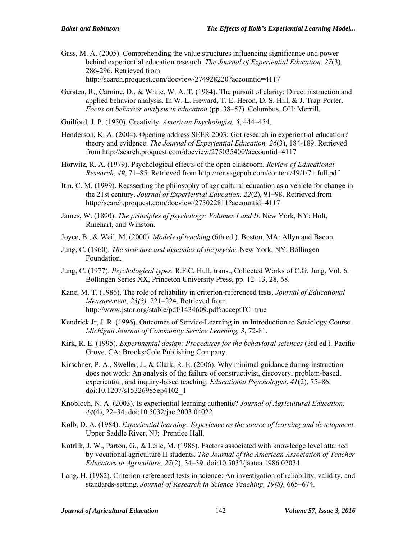- Gass, M. A. (2005). Comprehending the value structures influencing significance and power behind experiential education research. *The Journal of Experiential Education, 27*(3), 286-296. Retrieved from http://search.proquest.com/docview/274928220?accountid=4117
- Gersten, R., Carnine, D., & White, W. A. T. (1984). The pursuit of clarity: Direct instruction and applied behavior analysis. In W. L. Heward, T. E. Heron, D. S. Hill, & J. Trap-Porter, *Focus on behavior analysis in education* (pp. 38–57). Columbus, OH: Merrill.
- Guilford, J. P. (1950). Creativity. *American Psychologist, 5*, 444–454.
- Henderson, K. A. (2004). Opening address SEER 2003: Got research in experiential education? theory and evidence. *The Journal of Experiential Education, 26*(3), 184-189. Retrieved from http://search.proquest.com/docview/275035400?accountid=4117
- Horwitz, R. A. (1979). Psychological effects of the open classroom. *Review of Educational Research, 49*, 71–85. Retrieved from http://rer.sagepub.com/content/49/1/71.full.pdf
- Itin, C. M. (1999). Reasserting the philosophy of agricultural education as a vehicle for change in the 21st century. *Journal of Experiential Education, 22*(2), 91–98. Retrieved from http://search.proquest.com/docview/275022811?accountid=4117
- James, W. (1890). *The principles of psychology: Volumes I and II.* New York, NY: Holt, Rinehart, and Winston.
- Joyce, B., & Weil, M. (2000). *Models of teaching* (6th ed.). Boston, MA: Allyn and Bacon.
- Jung, C. (1960). *The structure and dynamics of the psyche*. New York, NY: Bollingen Foundation.
- Jung, C. (1977). *Psychological types.* R.F.C. Hull, trans., Collected Works of C.G. Jung, Vol. 6. Bollingen Series XX, Princeton University Press, pp. 12–13, 28, 68.
- Kane, M. T. (1986). The role of reliability in criterion-referenced tests. *Journal of Educational Measurement, 23(3),* 221–224. Retrieved from http://www.jstor.org/stable/pdf/1434609.pdf?acceptTC=true
- Kendrick Jr, J. R. (1996). Outcomes of Service-Learning in an Introduction to Sociology Course. *Michigan Journal of Community Service Learning*, *3*, 72-81.
- Kirk, R. E. (1995). *Experimental design: Procedures for the behavioral sciences* (3rd ed.)*.* Pacific Grove, CA: Brooks/Cole Publishing Company.
- Kirschner, P. A., Sweller, J., & Clark, R. E. (2006). Why minimal guidance during instruction does not work: An analysis of the failure of constructivist, discovery, problem-based, experiential, and inquiry-based teaching. *Educational Psychologist*, *41*(2), 75–86. doi:10.1207/s15326985ep4102\_1
- Knobloch, N. A. (2003). Is experiential learning authentic? *Journal of Agricultural Education, 44*(4), 22–34. doi:10.5032/jae.2003.04022
- Kolb, D. A. (1984). *Experiential learning: Experience as the source of learning and development.*  Upper Saddle River, NJ: Prentice Hall.
- Kotrlik, J. W., Parton, G., & Leile, M. (1986). Factors associated with knowledge level attained by vocational agriculture II students. *The Journal of the American Association of Teacher Educators in Agriculture, 27*(2), 34–39. doi:10.5032/jaatea.1986.02034
- Lang, H. (1982). Criterion-referenced tests in science: An investigation of reliability, validity, and standards-setting. *Journal of Research in Science Teaching, 19(8),* 665–674.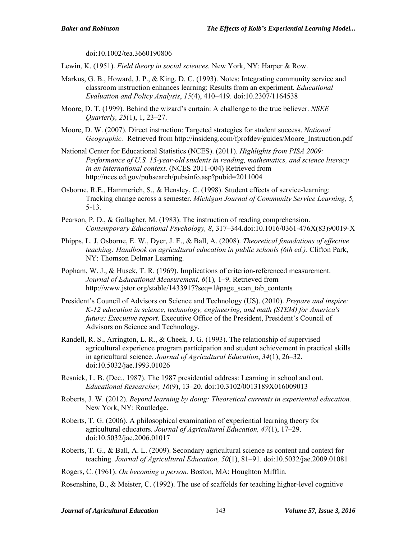doi:10.1002/tea.3660190806

Lewin, K. (1951). *Field theory in social sciences.* New York, NY: Harper & Row.

- Markus, G. B., Howard, J. P., & King, D. C. (1993). Notes: Integrating community service and classroom instruction enhances learning: Results from an experiment. *Educational Evaluation and Policy Analysis*, *15*(4), 410–419. doi:10.2307/1164538
- Moore, D. T. (1999). Behind the wizard's curtain: A challenge to the true believer. *NSEE Quarterly, 25*(1), 1, 23–27.
- Moore, D. W. (2007). Direct instruction: Targeted strategies for student success. *National Geographic.* Retrieved from http://insideng.com/fprofdev/guides/Moore\_Instruction.pdf
- National Center for Educational Statistics (NCES). (2011). *Highlights from PISA 2009: Performance of U.S. 15-year-old students in reading, mathematics, and science literacy in an international context*. (NCES 2011-004) Retrieved from http://nces.ed.gov/pubsearch/pubsinfo.asp?pubid=2011004
- Osborne, R.E., Hammerich, S., & Hensley, C. (1998). Student effects of service-learning: Tracking change across a semester. *Michigan Journal of Community Service Learning, 5,*  5-13.
- Pearson, P. D., & Gallagher, M. (1983). The instruction of reading comprehension. *Contemporary Educational Psychology, 8*, 317–344.doi:10.1016/0361-476X(83)90019-X
- Phipps, L. J, Osborne, E. W., Dyer, J. E., & Ball, A. (2008). *Theoretical foundations of effective teaching: Handbook on agricultural education in public schools (6th ed.)*. Clifton Park, NY: Thomson Delmar Learning.
- Popham, W. J., & Husek, T. R. (1969). Implications of criterion-referenced measurement. *Journal of Educational Measurement, 6*(1)*,* 1–9. Retrieved from http://www.jstor.org/stable/1433917?seq=1#page\_scan\_tab\_contents
- President's Council of Advisors on Science and Technology (US). (2010). *Prepare and inspire: K-12 education in science, technology, engineering, and math (STEM) for America's future: Executive report*. Executive Office of the President, President's Council of Advisors on Science and Technology.
- Randell, R. S., Arrington, L. R., & Cheek, J. G. (1993). The relationship of supervised agricultural experience program participation and student achievement in practical skills in agricultural science. *Journal of Agricultural Education*, *34*(1), 26–32. doi:10.5032/jae.1993.01026
- Resnick, L. B. (Dec., 1987). The 1987 presidential address: Learning in school and out. *Educational Researcher, 16*(9), 13–20. doi:10.3102/0013189X016009013
- Roberts, J. W. (2012). *Beyond learning by doing: Theoretical currents in experiential education.*  New York, NY: Routledge.
- Roberts, T. G. (2006). A philosophical examination of experiential learning theory for agricultural educators. *Journal of Agricultural Education, 47*(1), 17–29. doi:10.5032/jae.2006.01017
- Roberts, T. G., & Ball, A. L. (2009). Secondary agricultural science as content and context for teaching. *Journal of Agricultural Education, 50*(1), 81–91. doi:10.5032/jae.2009.01081
- Rogers, C. (1961). *On becoming a person.* Boston, MA: Houghton Mifflin.

Rosenshine, B., & Meister, C. (1992). The use of scaffolds for teaching higher-level cognitive